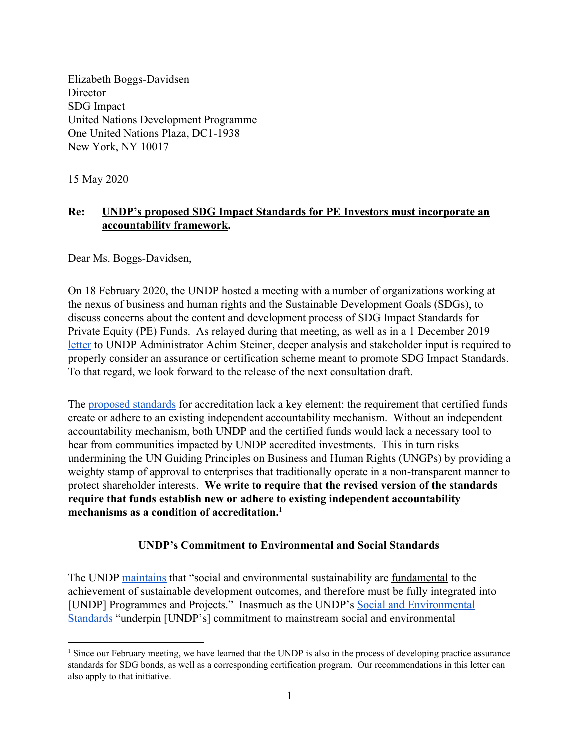Elizabeth Boggs-Davidsen **Director** SDG Impact United Nations Development Programme One United Nations Plaza, DC1-1938 New York, NY 10017

15 May 2020

# **Re: UNDP's proposed SDG Impact Standards for PE Investors must incorporate an accountability framework.**

Dear Ms. Boggs-Davidsen,

On 18 February 2020, the UNDP hosted a meeting with a number of organizations working at the nexus of business and human rights and the Sustainable Development Goals (SDGs), to discuss concerns about the content and development process of SDG Impact Standards for Private Equity (PE) Funds. As relayed during that meeting, as well as in a 1 December 2019 [letter](https://www.accountabilitycounsel.org/wp-content/uploads/2020/03/public-comments-to-undp-re-private-equity-standards_certification-01-12-19-f.pdf) to UNDP Administrator Achim Steiner, deeper analysis and stakeholder input is required to properly consider an assurance or certification scheme meant to promote SDG Impact Standards. To that regard, we look forward to the release of the next consultation draft.

The [proposed standards](https://sdgimpact.undp.org/assets/UNDP_SDG-Impact-Practice-Standards-for-PE-Funds-SEP-2019-CONSULTATION-DRAFT-FINAL.pdf#page=13) for accreditation lack a key element: the requirement that certified funds create or adhere to an existing independent accountability mechanism. Without an independent accountability mechanism, both UNDP and the certified funds would lack a necessary tool to hear from communities impacted by UNDP accredited investments. This in turn risks undermining the UN Guiding Principles on Business and Human Rights (UNGPs) by providing a weighty stamp of approval to enterprises that traditionally operate in a non-transparent manner to protect shareholder interests. **We write to require that the revised version of the standards require that funds establish new or adhere to existing independent accountability mechanisms as a condition of accreditation.<sup>1</sup>**

# **UNDP's Commitment to Environmental and Social Standards**

The UNDP [maintains](https://www.undp.org/content/undp/en/home/accountability/social-and-environmental-responsibility.html) that "social and environmental sustainability are <u>fundamental</u> to the achievement of sustainable development outcomes, and therefore must be fully integrated into [UNDP] Programmes and Projects." Inasmuch as the UNDP's [Social and Environmental](https://www.undp.org/content/undp/en/home/accountability/social-and-environmental-responsibility/social-and-environmental-standards.html) [Standards](https://www.undp.org/content/undp/en/home/accountability/social-and-environmental-responsibility/social-and-environmental-standards.html) "underpin [UNDP's] commitment to mainstream social and environmental

<sup>&</sup>lt;sup>1</sup> Since our February meeting, we have learned that the UNDP is also in the process of developing practice assurance standards for SDG bonds, as well as a corresponding certification program. Our recommendations in this letter can also apply to that initiative.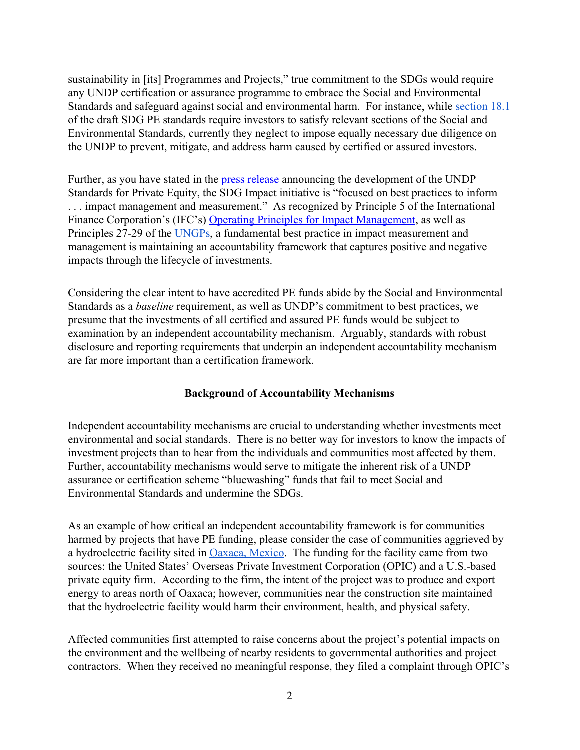sustainability in [its] Programmes and Projects," true commitment to the SDGs would require any UNDP certification or assurance programme to embrace the Social and Environmental Standards and safeguard against social and environmental harm. For instance, while [section 18.1](https://sdgimpact.undp.org/assets/UNDP_SDG-Impact-Practice-Standards-for-PE-Funds-SEP-2019-CONSULTATION-DRAFT-FINAL.pdf#page=47) of the draft SDG PE standards require investors to satisfy relevant sections of the Social and Environmental Standards, currently they neglect to impose equally necessary due diligence on the UNDP to prevent, mitigate, and address harm caused by certified or assured investors.

Further, as you have stated in the [press release](https://www.undp.org/content/undp/en/home/news-centre/news/2019/UNDP_launches_standards_to_guide_private_sector_in_achieving_SDGs.html) announcing the development of the UNDP Standards for Private Equity, the SDG Impact initiative is "focused on best practices to inform . . . impact management and measurement." As recognized by Principle 5 of the International Finance Corporation's (IFC's) [Operating Principles for Impact Management,](https://olc.worldbank.org/system/files/Impact_investing_principles_Pg_2-6.pdf#page=4) as well as Principles 27-29 of the [UNGPs,](https://www.ohchr.org/Documents/Publications/GuidingPrinciplesBusinessHR_EN.pdf#page=36) a fundamental best practice in impact measurement and management is maintaining an accountability framework that captures positive and negative impacts through the lifecycle of investments.

Considering the clear intent to have accredited PE funds abide by the Social and Environmental Standards as a *baseline* requirement, as well as UNDP's commitment to best practices, we presume that the investments of all certified and assured PE funds would be subject to examination by an independent accountability mechanism. Arguably, standards with robust disclosure and reporting requirements that underpin an independent accountability mechanism are far more important than a certification framework.

# **Background of Accountability Mechanisms**

Independent accountability mechanisms are crucial to understanding whether investments meet environmental and social standards. There is no better way for investors to know the impacts of investment projects than to hear from the individuals and communities most affected by them. Further, accountability mechanisms would serve to mitigate the inherent risk of a UNDP assurance or certification scheme "bluewashing" funds that fail to meet Social and Environmental Standards and undermine the SDGs.

As an example of how critical an independent accountability framework is for communities harmed by projects that have PE funding, please consider the case of communities aggrieved by a hydroelectric facility sited in [Oaxaca, Mexico](https://www.accountabilitycounsel.org/client-case/mexico-oaxaca-hydroelectric/#case-story). The funding for the facility came from two sources: the United States' Overseas Private Investment Corporation (OPIC) and a U.S.-based private equity firm. According to the firm, the intent of the project was to produce and export energy to areas north of Oaxaca; however, communities near the construction site maintained that the hydroelectric facility would harm their environment, health, and physical safety.

Affected communities first attempted to raise concerns about the project's potential impacts on the environment and the wellbeing of nearby residents to governmental authorities and project contractors. When they received no meaningful response, they filed a complaint through OPIC's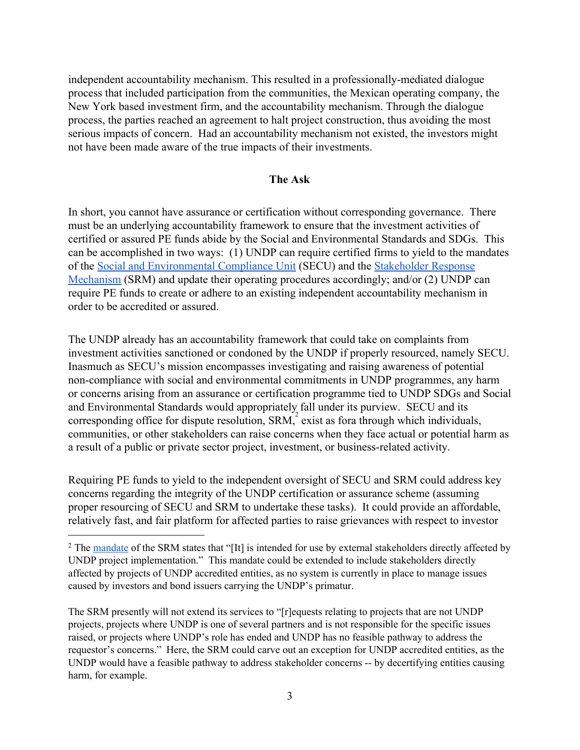independent accountability mechanism. This resulted in a professionally-mediated dialogue process that included participation from the communities, the Mexican operating company, the New York based investment firm, and the accountability mechanism. Through the dialogue process, the parties reached an [agreement](https://www.accountabilitycounsel.org/wp-content/uploads/2017/08/March-11-Agreement-English.pdf) to halt project construction, thus avoiding the most serious impacts of concern. Had an accountability mechanism not existed, the investors might not have been made aware of the true impacts of their investments.

### **The Ask**

In short, you cannot have assurance or certification without corresponding governance. There must be an underlying accountability framework to ensure that the investment activities of certified or assured PE funds abide by the Social and Environmental Standards and SDGs. This can be accomplished in two ways: (1) UNDP can require certified firms to yield to the mandates of the [Social and Environmental Compliance Unit](https://www.undp.org/content/undp/en/home/accountability/audit/secu-srm/social-and-environmental-compliance-unit.html) (SECU) and the [Stakeholder Response](https://www.undp.org/content/undp/en/home/librarypage/operations1/stakeholder-response-mechanism.html) [Mechanism](https://www.undp.org/content/undp/en/home/librarypage/operations1/stakeholder-response-mechanism.html) (SRM) and update their operating procedures accordingly; and/or (2) UNDP can require PE funds to create or adhere to an existing independent accountability mechanism in order to be accredited or assured.

The UNDP already has an accountability framework that could take on complaints from investment activities sanctioned or condoned by the UNDP if properly resourced, namely SECU. Inasmuch as SECU's mission encompasses investigating and raising awareness of potential non-compliance with social and environmental commitments in UNDP programmes, any harm or concerns arising from an assurance or certification programme tied to UNDP SDGs and Social and Environmental Standards would appropriately fall under its purview. SECU and its corresponding office for dispute resolution,  $SRM$ , exist as fora through which individuals, communities, or other stakeholders can raise concerns when they face actual or potential harm as a result of a public or private sector project, investment, or business-related activity.

Requiring PE funds to yield to the independent oversight of SECU and SRM could address key concerns regarding the integrity of the UNDP certification or assurance scheme (assuming proper resourcing of SECU and SRM to undertake these tasks). It could provide an affordable, relatively fast, and fair platform for affected parties to raise grievances with respect to investor

The SRM presently will not extend its services to "[r]equests relating to projects that are not UNDP projects, projects where UNDP is one of several partners and is not responsible for the specific issues raised, or projects where UNDP's role has ended and UNDP has no feasible pathway to address the requestor's concerns." Here, the SRM could carve out an exception for UNDP accredited entities, as the UNDP would have a feasible pathway to address stakeholder concerns -- by decertifying entities causing harm, for example.

<sup>&</sup>lt;sup>2</sup> The [mandate](https://www.undp.org/content/dam/undp/library/corporate/Social-and-Environmental-Policies-and-Procedures/SRM%20Guidance%20Note%20r4.pdf#page=8) of the SRM states that "[It] is intended for use by external stakeholders directly affected by UNDP project implementation." This mandate could be extended to include stakeholders directly affected by projects of UNDP accredited entities, as no system is currently in place to manage issues caused by investors and bond issuers carrying the UNDP's primatur.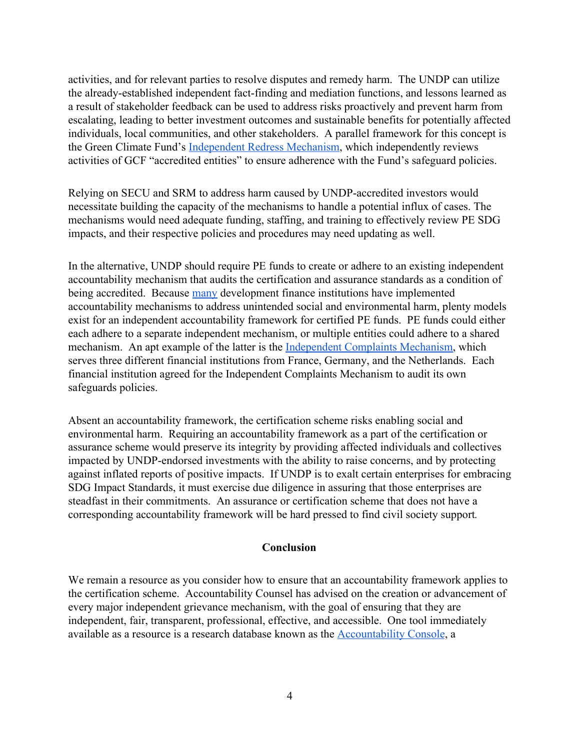activities, and for relevant parties to resolve disputes and remedy harm. The UNDP can utilize the already-established independent fact-finding and mediation functions, and lessons learned as a result of stakeholder feedback can be used to address risks proactively and prevent harm from escalating, leading to better investment outcomes and sustainable benefits for potentially affected individuals, local communities, and other stakeholders. A parallel framework for this concept is the Green Climate Fund's [Independent Redress Mechanism](https://irm.greenclimate.fund/), which independently reviews activities of GCF "accredited entities" to ensure adherence with the Fund's safeguard policies.

Relying on SECU and SRM to address harm caused by UNDP-accredited investors would necessitate building the capacity of the mechanisms to handle a potential influx of cases. The mechanisms would need adequate funding, staffing, and training to effectively review PE SDG impacts, and their respective policies and procedures may need updating as well.

In the alternative, UNDP should require PE funds to create or adhere to an existing independent accountability mechanism that audits the certification and assurance standards as a condition of being accredited. Because [many](http://independentaccountabilitymechanism.net/) development finance institutions have implemented accountability mechanisms to address unintended social and environmental harm, plenty models exist for an independent accountability framework for certified PE funds. PE funds could either each adhere to a separate independent mechanism, or multiple entities could adhere to a shared mechanism. An apt example of the latter is the [Independent Complaints Mechanism](https://www.fmo.nl/independent-complaints-mechanism), which serves three different financial institutions from France, Germany, and the Netherlands. Each financial institution agreed for the Independent Complaints Mechanism to audit its own safeguards policies.

Absent an accountability framework, the certification scheme risks enabling social and environmental harm. Requiring an accountability framework as a part of the certification or assurance scheme would preserve its integrity by providing affected individuals and collectives impacted by UNDP-endorsed investments with the ability to raise concerns, and by protecting against inflated reports of positive impacts. If UNDP is to exalt certain enterprises for embracing SDG Impact Standards, it must exercise due diligence in assuring that those enterprises are steadfast in their commitments. An assurance or certification scheme that does not have a corresponding accountability framework will be hard pressed to find civil society support*.*

### **Conclusion**

We remain a resource as you consider how to ensure that an accountability framework applies to the certification scheme. Accountability Counsel has advised on the creation or advancement of every major independent grievance mechanism, with the goal of ensuring that they are independent, fair, transparent, professional, effective, and accessible. One tool immediately available as a resource is a research database known as the [Accountability Console,](https://accountabilityconsole.com/) a